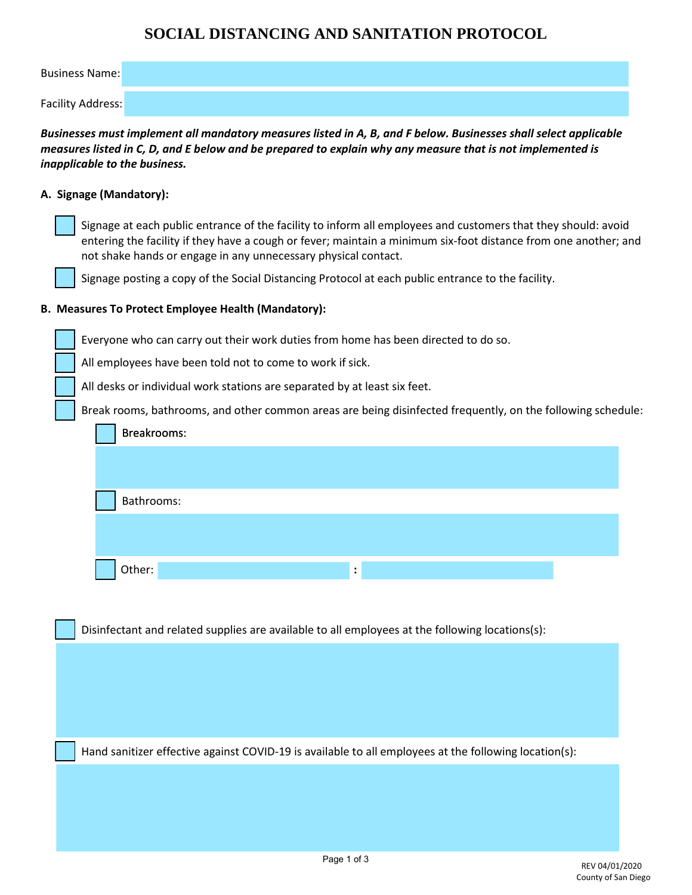## **SOCIAL DISTANCING AND SANITATION PROTOCOL**

| <b>Business Name:</b>                                                                                                                                                                                                                                                                              |
|----------------------------------------------------------------------------------------------------------------------------------------------------------------------------------------------------------------------------------------------------------------------------------------------------|
| <b>Facility Address:</b>                                                                                                                                                                                                                                                                           |
| Businesses must implement all mandatory measures listed in A, B, and F below. Businesses shall select applicable<br>measures listed in C, D, and E below and be prepared to explain why any measure that is not implemented is<br>inapplicable to the business.                                    |
| A. Signage (Mandatory):                                                                                                                                                                                                                                                                            |
| Signage at each public entrance of the facility to inform all employees and customers that they should: avoid<br>entering the facility if they have a cough or fever; maintain a minimum six-foot distance from one another; and<br>not shake hands or engage in any unnecessary physical contact. |
| Signage posting a copy of the Social Distancing Protocol at each public entrance to the facility.                                                                                                                                                                                                  |
| B. Measures To Protect Employee Health (Mandatory):                                                                                                                                                                                                                                                |
| Everyone who can carry out their work duties from home has been directed to do so.                                                                                                                                                                                                                 |
| All employees have been told not to come to work if sick.                                                                                                                                                                                                                                          |
| All desks or individual work stations are separated by at least six feet.                                                                                                                                                                                                                          |
| Break rooms, bathrooms, and other common areas are being disinfected frequently, on the following schedule:                                                                                                                                                                                        |
| Breakrooms:                                                                                                                                                                                                                                                                                        |
| Bathrooms:                                                                                                                                                                                                                                                                                         |
|                                                                                                                                                                                                                                                                                                    |
| Other:                                                                                                                                                                                                                                                                                             |
|                                                                                                                                                                                                                                                                                                    |
| Disinfectant and related supplies are available to all employees at the following location(s):                                                                                                                                                                                                     |
|                                                                                                                                                                                                                                                                                                    |
|                                                                                                                                                                                                                                                                                                    |
|                                                                                                                                                                                                                                                                                                    |
|                                                                                                                                                                                                                                                                                                    |
| Hand sanitizer effective against COVID-19 is available to all employees at the following location(s):                                                                                                                                                                                              |
|                                                                                                                                                                                                                                                                                                    |
|                                                                                                                                                                                                                                                                                                    |
|                                                                                                                                                                                                                                                                                                    |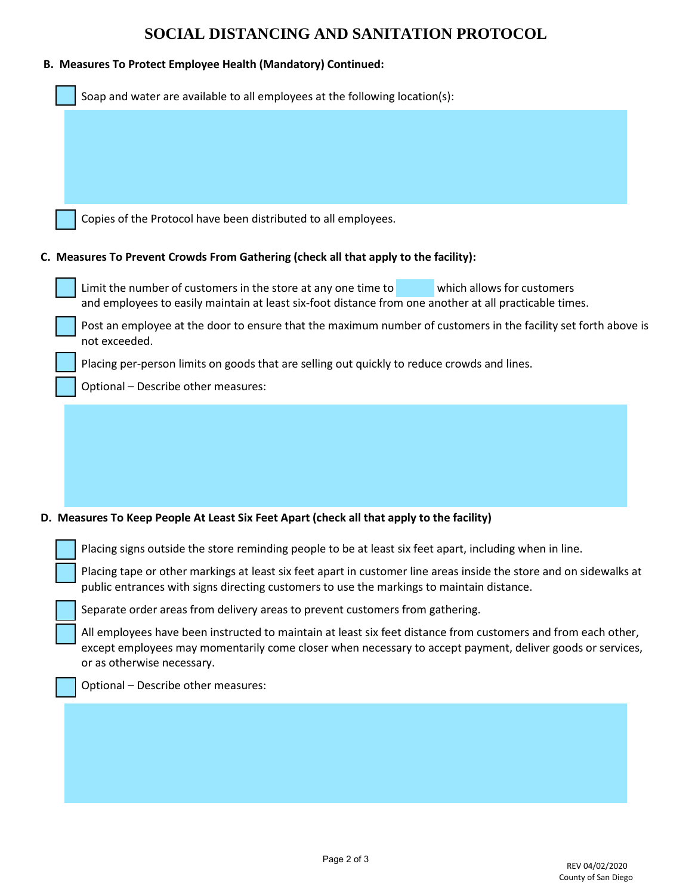| $\mathbb{R}^2$ |  | <b>Contract Contract Contract Contract Contract Contract Contract Contract Contract Contract Contract Contract Co</b> |  |
|----------------|--|-----------------------------------------------------------------------------------------------------------------------|--|
|                |  |                                                                                                                       |  |
|                |  |                                                                                                                       |  |
|                |  |                                                                                                                       |  |
|                |  |                                                                                                                       |  |
|                |  |                                                                                                                       |  |
|                |  |                                                                                                                       |  |
|                |  |                                                                                                                       |  |
|                |  |                                                                                                                       |  |